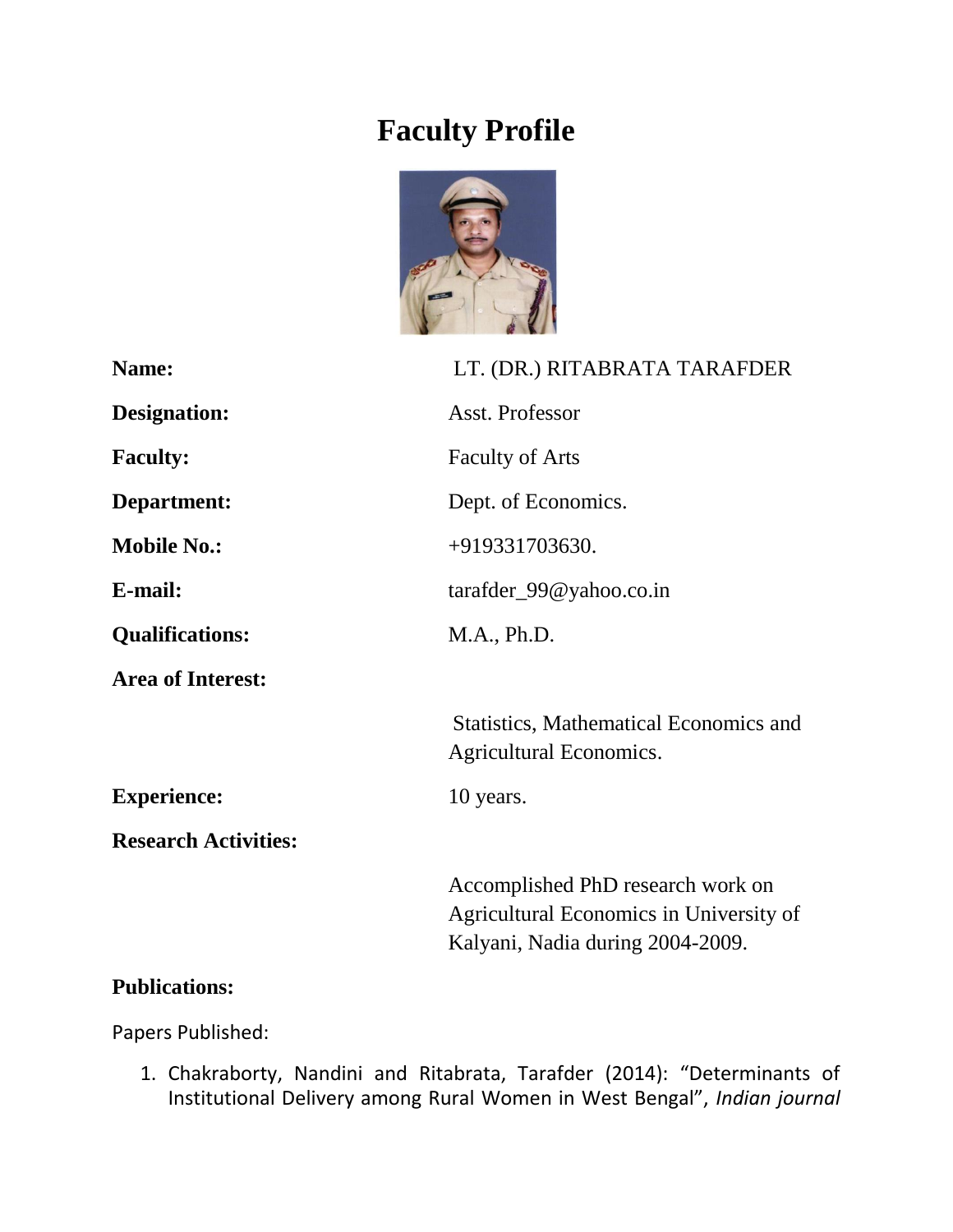## **Faculty Profile**



| Name:                       | LT. (DR.) RITABRATA TARAFDER                                                                                     |
|-----------------------------|------------------------------------------------------------------------------------------------------------------|
| <b>Designation:</b>         | Asst. Professor                                                                                                  |
| <b>Faculty:</b>             | <b>Faculty of Arts</b>                                                                                           |
| Department:                 | Dept. of Economics.                                                                                              |
| <b>Mobile No.:</b>          | +919331703630.                                                                                                   |
| E-mail:                     | $\text{target\_99@yahoo.co.in}$                                                                                  |
| <b>Qualifications:</b>      | M.A., Ph.D.                                                                                                      |
| <b>Area of Interest:</b>    |                                                                                                                  |
|                             | <b>Statistics, Mathematical Economics and</b><br>Agricultural Economics.                                         |
| <b>Experience:</b>          | 10 years.                                                                                                        |
| <b>Research Activities:</b> |                                                                                                                  |
|                             | Accomplished PhD research work on<br>Agricultural Economics in University of<br>Kalyani, Nadia during 2004-2009. |

## **Publications:**

Papers Published:

1. Chakraborty, Nandini and Ritabrata, Tarafder (2014): "Determinants of Institutional Delivery among Rural Women in West Bengal", *Indian journal*